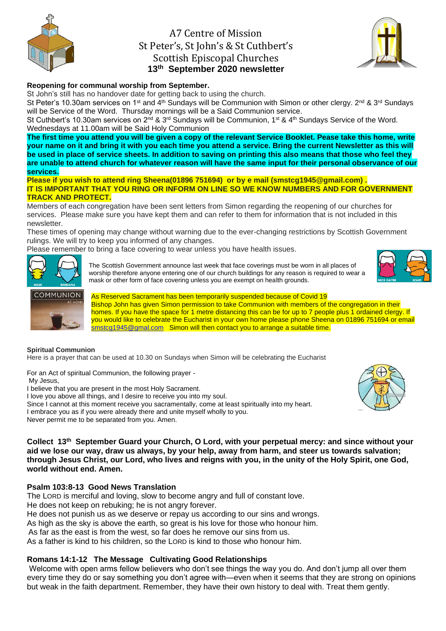

# A7 Centre of Mission St Peter's, St John's & St Cuthbert's Scottish Episcopal Churches **13th September 2020 newsletter**



#### **Reopening for communal worship from September.**

St John's still has no handover date for getting back to using the church.

St Peter's 10.30am services on 1<sup>st</sup> and 4<sup>th</sup> Sundays will be Communion with Simon or other clergy. 2<sup>nd</sup> & 3<sup>rd</sup> Sundays will be Service of the Word. Thursday mornings will be a Said Communion service.

St Cuthbert's 10.30am services on 2<sup>nd</sup> & 3<sup>rd</sup> Sundays will be Communion, 1<sup>st</sup> & 4<sup>th</sup> Sundays Service of the Word. Wednesdays at 11.00am will be Said Holy Communion

**The first time you attend you will be given a copy of the relevant Service Booklet. Pease take this home, write your name on it and bring it with you each time you attend a service. Bring the current Newsletter as this will be used in place of service sheets. In addition to saving on printing this also means that those who feel they are unable to attend church for whatever reason will have the same input for their personal observance of our services.**

**Please if you wish to attend ring Sheena(01896 751694) or by e mail (smstcg1945@gmail.com). IT IS IMPORTANT THAT YOU RING OR INFORM ON LINE SO WE KNOW NUMBERS AND FOR GOVERNMENT TRACK AND PROTECT.**

Members of each congregation have been sent letters from Simon regarding the reopening of our churches for services. Please make sure you have kept them and can refer to them for information that is not included in this newsletter.

These times of opening may change without warning due to the ever-changing restrictions by Scottish Government rulings. We will try to keep you informed of any changes.

Please remember to bring a face covering to wear unless you have health issues.



The Scottish Government announce last week that face coverings must be worn in all places of worship therefore anyone entering one of our church buildings for any reason is required to wear a mask or other form of face covering unless you are exempt on health grounds.





As Reserved Sacrament has been temporarily suspended because of Covid 19 Bishop John has given Simon permission to take Communion with members of the congregation in their homes. If you have the space for 1 metre distancing this can be for up to 7 people plus 1 ordained clergy. If you would like to celebrate the Eucharist in your own home please phone Sheena on 01896 751694 or email [smstcg1945@gmal.com](mailto:smstcg1945@gmal.com) Simon will then contact you to arrange a suitable time.

#### **Spiritual Communion**

Here is a prayer that can be used at 10.30 on Sundays when Simon will be celebrating the Eucharist

For an Act of spiritual Communion, the following prayer -

My Jesus,

I believe that you are present in the most Holy Sacrament.

I love you above all things, and I desire to receive you into my soul. Since I cannot at this moment receive you sacramentally, come at least spiritually into my heart.

I embrace you as if you were already there and unite myself wholly to you.

Never permit me to be separated from you. Amen.

**Collect 13th September Guard your Church, O Lord, with your perpetual mercy: and since without your aid we lose our way, draw us always, by your help, away from harm, and steer us towards salvation; through Jesus Christ, our Lord, who lives and reigns with you, in the unity of the Holy Spirit, one God, world without end. Amen.**

#### **Psalm 103:8-13 Good News Translation**

The LORD is merciful and loving, slow to become angry and full of constant love.

He does not keep on rebuking; he is not angry forever.

He does not punish us as we deserve or repay us according to our sins and wrongs.

As high as the sky is above the earth, so great is his love for those who honour him.

As far as the east is from the west, so far does he remove our sins from us.

As a father is kind to his children, so the LORD is kind to those who honour him.

## **Romans 14:1-12 The Message Cultivating Good Relationships**

Welcome with open arms fellow believers who don't see things the way you do. And don't jump all over them every time they do or say something you don't agree with—even when it seems that they are strong on opinions but weak in the faith department. Remember, they have their own history to deal with. Treat them gently.

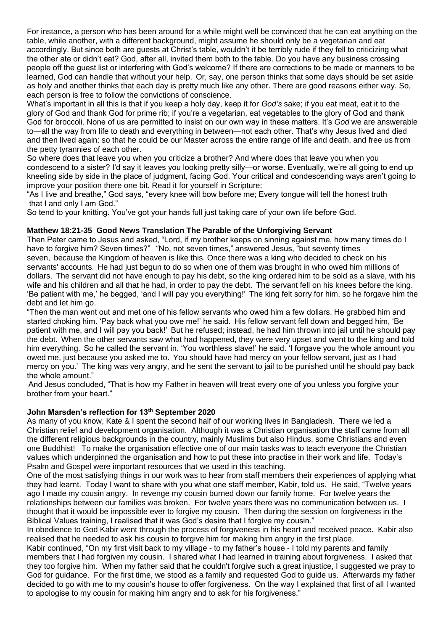For instance, a person who has been around for a while might well be convinced that he can eat anything on the table, while another, with a different background, might assume he should only be a vegetarian and eat accordingly. But since both are guests at Christ's table, wouldn't it be terribly rude if they fell to criticizing what the other ate or didn't eat? God, after all, invited them both to the table. Do you have any business crossing people off the guest list or interfering with God's welcome? If there are corrections to be made or manners to be learned, God can handle that without your help. Or, say, one person thinks that some days should be set aside as holy and another thinks that each day is pretty much like any other. There are good reasons either way. So, each person is free to follow the convictions of conscience.

What's important in all this is that if you keep a holy day, keep it for *God's* sake; if you eat meat, eat it to the glory of God and thank God for prime rib; if you're a vegetarian, eat vegetables to the glory of God and thank God for broccoli. None of us are permitted to insist on our own way in these matters. It's *God* we are answerable to—all the way from life to death and everything in between—not each other. That's why Jesus lived and died and then lived again: so that he could be our Master across the entire range of life and death, and free us from the petty tyrannies of each other.

So where does that leave you when you criticize a brother? And where does that leave you when you condescend to a sister? I'd say it leaves you looking pretty silly—or worse. Eventually, we're all going to end up kneeling side by side in the place of judgment, facing God. Your critical and condescending ways aren't going to improve your position there one bit. Read it for yourself in Scripture:

"As I live and breathe," God says, "every knee will bow before me; Every tongue will tell the honest truth that I and only I am God."

So tend to your knitting. You've got your hands full just taking care of your own life before God.

#### **Matthew 18:21-35 Good News Translation The Parable of the Unforgiving Servant**

Then Peter came to Jesus and asked, "Lord, if my brother keeps on sinning against me, how many times do I have to forgive him? Seven times?" "No, not seven times," answered Jesus, "but seventy times seven, because the Kingdom of heaven is like this. Once there was a king who decided to check on his servants' accounts. He had just begun to do so when one of them was brought in who owed him millions of dollars. The servant did not have enough to pay his debt, so the king ordered him to be sold as a slave, with his wife and his children and all that he had, in order to pay the debt. The servant fell on his knees before the king. 'Be patient with me,' he begged, 'and I will pay you everything!' The king felt sorry for him, so he forgave him the debt and let him go.

"Then the man went out and met one of his fellow servants who owed him a few dollars. He grabbed him and started choking him. 'Pay back what you owe me!' he said. His fellow servant fell down and begged him, 'Be patient with me, and I will pay you back!' But he refused; instead, he had him thrown into jail until he should pay the debt. When the other servants saw what had happened, they were very upset and went to the king and told him everything. So he called the servant in. 'You worthless slave!' he said. 'I forgave you the whole amount you owed me, just because you asked me to. You should have had mercy on your fellow servant, just as I had mercy on you.' The king was very angry, and he sent the servant to jail to be punished until he should pay back the whole amount."

And Jesus concluded, "That is how my Father in heaven will treat every one of you unless you forgive your brother from your heart."

#### **John Marsden's reflection for 13th September 2020**

As many of you know, Kate & I spent the second half of our working lives in Bangladesh. There we led a Christian relief and development organisation. Although it was a Christian organisation the staff came from all the different religious backgrounds in the country, mainly Muslims but also Hindus, some Christians and even one Buddhist! To make the organisation effective one of our main tasks was to teach everyone the Christian values which underpinned the organisation and how to put these into practise in their work and life. Today's Psalm and Gospel were important resources that we used in this teaching.

One of the most satisfying things in our work was to hear from staff members their experiences of applying what they had learnt. Today I want to share with you what one staff member, Kabir, told us. He said, "Twelve years ago I made my cousin angry. In revenge my cousin burned down our family home. For twelve years the relationships between our families was broken. For twelve years there was no communication between us. I thought that it would be impossible ever to forgive my cousin. Then during the session on forgiveness in the Biblical Values training, I realised that it was God's desire that I forgive my cousin."

In obedience to God Kabir went through the process of forgiveness in his heart and received peace. Kabir also realised that he needed to ask his cousin to forgive him for making him angry in the first place.

Kabir continued, "On my first visit back to my village - to my father's house - I told my parents and family members that I had forgiven my cousin. I shared what I had learned in training about forgiveness. I asked that they too forgive him. When my father said that he couldn't forgive such a great injustice, I suggested we pray to God for guidance. For the first time, we stood as a family and requested God to guide us. Afterwards my father decided to go with me to my cousin's house to offer forgiveness. On the way I explained that first of all I wanted to apologise to my cousin for making him angry and to ask for his forgiveness."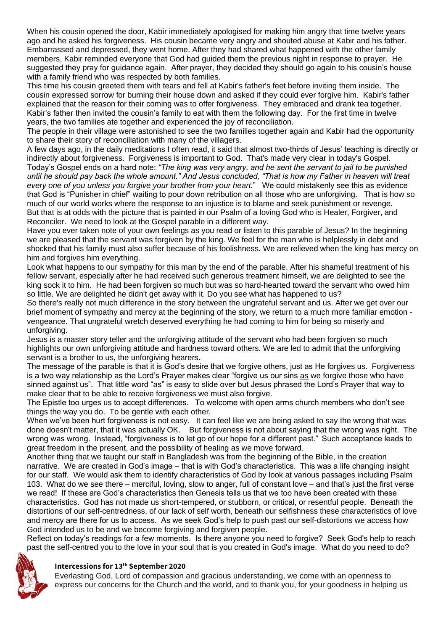When his cousin opened the door, Kabir immediately apologised for making him angry that time twelve years ago and he asked his forgiveness. His cousin became very angry and shouted abuse at Kabir and his father. Embarrassed and depressed, they went home. After they had shared what happened with the other family members, Kabir reminded everyone that God had guided them the previous night in response to prayer. He suggested they pray for guidance again. After prayer, they decided they should go again to his cousin's house with a family friend who was respected by both families.

This time his cousin greeted them with tears and fell at Kabir's father's feet before inviting them inside. The cousin expressed sorrow for burning their house down and asked if they could ever forgive him. Kabir's father explained that the reason for their coming was to offer forgiveness. They embraced and drank tea together. Kabir's father then invited the cousin's family to eat with them the following day. For the first time in twelve years, the two families ate together and experienced the joy of reconciliation.

The people in their village were astonished to see the two families together again and Kabir had the opportunity to share their story of reconciliation with many of the villagers.

A few days ago, in the daily meditations I often read, it said that almost two-thirds of Jesus' teaching is directly or indirectly about forgiveness. Forgiveness is important to God. That's made very clear in today's Gospel. Today's Gospel ends on a hard note: *"The king was very angry, and he sent the servant to jail to be punished until he should pay back the whole amount." And Jesus concluded, "That is how my Father in heaven will treat every one of you unless you forgive your brother from your heart.*" We could mistakenly see this as evidence that God is "Punisher in chief" waiting to pour down retribution on all those who are unforgiving. That is how so much of our world works where the response to an injustice is to blame and seek punishment or revenge. But that is at odds with the picture that is painted in our Psalm of a loving God who is Healer, Forgiver, and Reconciler. We need to look at the Gospel parable in a different way.

Have you ever taken note of your own feelings as you read or listen to this parable of Jesus? In the beginning we are pleased that the servant was forgiven by the king. We feel for the man who is helplessly in debt and shocked that his family must also suffer because of his foolishness. We are relieved when the king has mercy on him and forgives him everything.

Look what happens to our sympathy for this man by the end of the parable. After his shameful treatment of his fellow servant, especially after he had received such generous treatment himself, we are delighted to see the king sock it to him. He had been forgiven so much but was so hard-hearted toward the servant who owed him so little. We are delighted he didn't get away with it. Do you see what has happened to us?

So there's really not much difference in the story between the ungrateful servant and us. After we get over our brief moment of sympathy and mercy at the beginning of the story, we return to a much more familiar emotion vengeance. That ungrateful wretch deserved everything he had coming to him for being so miserly and unforgiving.

Jesus is a master story teller and the unforgiving attitude of the servant who had been forgiven so much highlights our own unforgiving attitude and hardness toward others. We are led to admit that the unforgiving servant is a brother to us, the unforgiving hearers.

The message of the parable is that it is God's desire that we forgive others, just as He forgives us. Forgiveness is a two way relationship as the Lord's Prayer makes clear "forgive us our sins as we forgive those who have sinned against us". That little word "as" is easy to slide over but Jesus phrased the Lord's Prayer that way to make clear that to be able to receive forgiveness we must also forgive.

The Epistle too urges us to accept differences. To welcome with open arms church members who don't see things the way you do. To be gentle with each other.

When we've been hurt forgiveness is not easy. It can feel like we are being asked to say the wrong that was done doesn't matter, that it was actually OK. But forgiveness is not about saying that the wrong was right. The wrong was wrong. Instead, "forgiveness is to let go of our hope for a different past."  Such acceptance leads to great freedom in the present, and the possibility of healing as we move forward.

Another thing that we taught our staff in Bangladesh was from the beginning of the Bible, in the creation narrative. We are created in God's image – that is with God's characteristics. This was a life changing insight for our staff. We would ask them to identify characteristics of God by look at various passages including Psalm 103. What do we see there – merciful, loving, slow to anger, full of constant love – and that's just the first verse we read! If these are God's characteristics then Genesis tells us that we too have been created with these characteristics. God has not made us short-tempered, or stubborn, or critical, or resentful people. Beneath the distortions of our self-centredness, of our lack of self worth, beneath our selfishness these characteristics of love and mercy are there for us to access. As we seek God's help to push past our self-distortions we access how God intended us to be and we become forgiving and forgiven people.

Reflect on today's readings for a few moments. Is there anyone you need to forgive? Seek God's help to reach past the self-centred you to the love in your soul that is you created in God's image. What do you need to do?



### **Intercessions for 13th September 2020**

Everlasting God, Lord of compassion and gracious understanding, we come with an openness to express our concerns for the Church and the world, and to thank you, for your goodness in helping us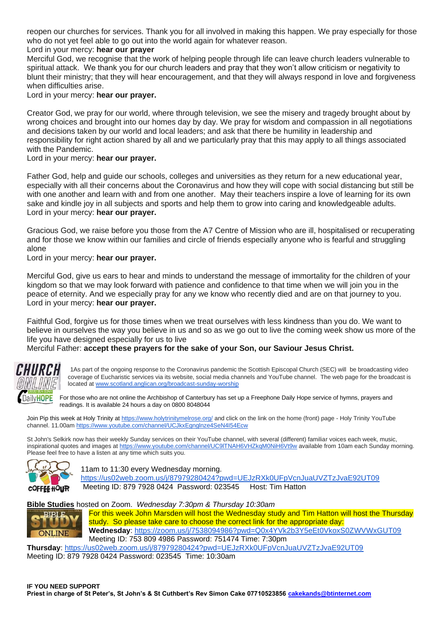reopen our churches for services. Thank you for all involved in making this happen. We pray especially for those who do not yet feel able to go out into the world again for whatever reason.

#### Lord in your mercy: **hear our prayer**

Merciful God, we recognise that the work of helping people through life can leave church leaders vulnerable to spiritual attack. We thank you for our church leaders and pray that they won't allow criticism or negativity to blunt their ministry; that they will hear encouragement, and that they will always respond in love and forgiveness when difficulties arise.

Lord in your mercy: **hear our prayer.**

Creator God, we pray for our world, where through television, we see the misery and tragedy brought about by wrong choices and brought into our homes day by day. We pray for wisdom and compassion in all negotiations and decisions taken by our world and local leaders; and ask that there be humility in leadership and responsibility for right action shared by all and we particularly pray that this may apply to all things associated with the Pandemic.

Lord in your mercy: **hear our prayer.**

Father God, help and guide our schools, colleges and universities as they return for a new educational year, especially with all their concerns about the Coronavirus and how they will cope with social distancing but still be with one another and learn with and from one another. May their teachers inspire a love of learning for its own sake and kindle joy in all subjects and sports and help them to grow into caring and knowledgeable adults. Lord in your mercy: **hear our prayer.**

Gracious God, we raise before you those from the A7 Centre of Mission who are ill, hospitalised or recuperating and for those we know within our families and circle of friends especially anyone who is fearful and struggling alone

Lord in your mercy: **hear our prayer.**

Merciful God, give us ears to hear and minds to understand the message of immortality for the children of your kingdom so that we may look forward with patience and confidence to that time when we will join you in the peace of eternity. And we especially pray for any we know who recently died and are on that journey to you. Lord in your mercy: **hear our prayer.**

Faithful God, forgive us for those times when we treat ourselves with less kindness than you do. We want to believe in ourselves the way you believe in us and so as we go out to live the coming week show us more of the life you have designed especially for us to live

Merciful Father: **accept these prayers for the sake of your Son, our Saviour Jesus Christ.**



1As part of the ongoing response to the Coronavirus pandemic the Scottish Episcopal Church (SEC) will be broadcasting video coverage of Eucharistic services via its website, social media channels and YouTube channel. The web page for the broadcast is located at [www.scotland.anglican.org/broadcast-sunday-worship](http://www.scotland.anglican.org/broadcast-sunday-worship)

Daily HOPE For those who are not online the Archbishop of Canterbury has set up a Freephone Daily Hope service of hymns, prayers and readings. It is available 24 hours a day on 0800 8048044

Join Pip this week at Holy Trinity at<https://www.holytrinitymelrose.org/> and click on the link on the home (front) page - Holy Trinity YouTube channel. 11.00am<https://www.youtube.com/channel/UCJkxEgnglnze4SeN4I54Ecw>

St John's Selkirk now has their weekly Sunday services on their YouTube channel, with several (different) familiar voices each week, music, inspirational quotes and images at https://www.youtube.com/channel/UC9ITNAH6VHZkqM0NiH6Vt9w available from 10am each Sunday morning. Please feel free to have a listen at any time which suits you.



**BIBLE** 

**ONLINE** 

11am to 11:30 every Wednesday morning. <https://us02web.zoom.us/j/87979280424?pwd=UEJzRXk0UFpVcnJuaUVZTzJvaE92UT09> Meeting ID: 879 7928 0424 Password: 023545 Host: Tim Hatton

#### **Bible Studies** hosted on Zoom. *Wednesday 7:30pm & Thursday 10:30am*

For this week John Marsden will host the Wednesday study and Tim Hatton will host the Thursday study. So please take care to choose the correct link for the appropriate day: **Wednesday**: <https://zoom.us/j/7538094986?pwd=Q0x4YVk2b3Y5eEt0VkoxS0ZWVWxGUT09> Meeting ID: 753 809 4986 Password: 751474 Time: 7:30pm

**Thursday**: <https://us02web.zoom.us/j/87979280424?pwd=UEJzRXk0UFpVcnJuaUVZTzJvaE92UT09> Meeting ID: 879 7928 0424 Password: 023545 Time: 10:30am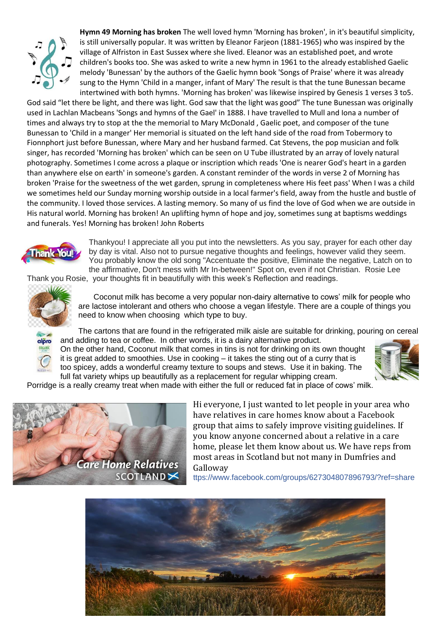

**Hymn 49 Morning has broken** The well loved hymn 'Morning has broken', in it's beautiful simplicity, is still universally popular. It was written by Eleanor Farjeon (1881-1965) who was inspired by the village of Alfriston in East Sussex where she lived. Eleanor was an established poet, and wrote children's books too. She was asked to write a new hymn in 1961 to the already established Gaelic melody 'Bunessan' by the authors of the Gaelic hymn book 'Songs of Praise' where it was already sung to the Hymn 'Child in a manger, infant of Mary' The result is that the tune Bunessan became intertwined with both hymns. 'Morning has broken' was likewise inspired by Genesis 1 verses 3 to5.

God said "let there be light, and there was light. God saw that the light was good" The tune Bunessan was originally used in Lachlan Macbeans 'Songs and hymns of the Gael' in 1888. I have travelled to Mull and Iona a number of times and always try to stop at the the memorial to Mary McDonald , Gaelic poet, and composer of the tune Bunessan to 'Child in a manger' Her memorial is situated on the left hand side of the road from Tobermory to Fionnphort just before Bunessan, where Mary and her husband farmed. Cat Stevens, the pop musician and folk singer, has recorded 'Morning has broken' which can be seen on U Tube illustrated by an array of lovely natural photography. Sometimes I come across a plaque or inscription which reads 'One is nearer God's heart in a garden than anywhere else on earth' in someone's garden. A constant reminder of the words in verse 2 of Morning has broken 'Praise for the sweetness of the wet garden, sprung in completeness where His feet pass' When I was a child we sometimes held our Sunday morning worship outside in a local farmer's field, away from the hustle and bustle of the community. I loved those services. A lasting memory. So many of us find the love of God when we are outside in His natural world. Morning has broken! An uplifting hymn of hope and joy, sometimes sung at baptisms weddings and funerals. Yes! Morning has broken! John Roberts



Thankyou! I appreciate all you put into the newsletters. As you say, prayer for each other day by day is vital. Also not to pursue negative thoughts and feelings, however valid they seem. You probably know the old song "Accentuate the positive, Eliminate the negative, Latch on to the affirmative, Don't mess with Mr In-between!" Spot on, even if not Christian. Rosie Lee

Thank you Rosie, your thoughts fit in beautifully with this week's Reflection and readings.



alpro

Coconut milk has become a very popular non-dairy alternative to cows' milk for people who are lactose intolerant and others who choose a vegan lifestyle. There are a couple of things you need to know when choosing which type to buy.

The cartons that are found in the refrigerated milk aisle are suitable for drinking, pouring on cereal and adding to tea or coffee. In other words, it is a dairy alternative product.

On the other hand, Coconut milk that comes in tins is not for drinking on its own thought it is great added to smoothies. Use in cooking – it takes the sting out of a curry that is too spicey, adds a wonderful creamy texture to soups and stews. Use it in baking. The full fat variety whips up beautifully as a replacement for regular whipping cream.



Porridge is a really creamy treat when made with either the full or reduced fat in place of cows' milk.



Hi everyone, I just wanted to let people in your area who have relatives in care homes know about a Facebook group that aims to safely improve visiting guidelines. If you know anyone concerned about a relative in a care home, please let them know about us. We have reps from most areas in Scotland but not many in Dumfries and Galloway

ttps://www.facebook.com/groups/627304807896793/?ref=share